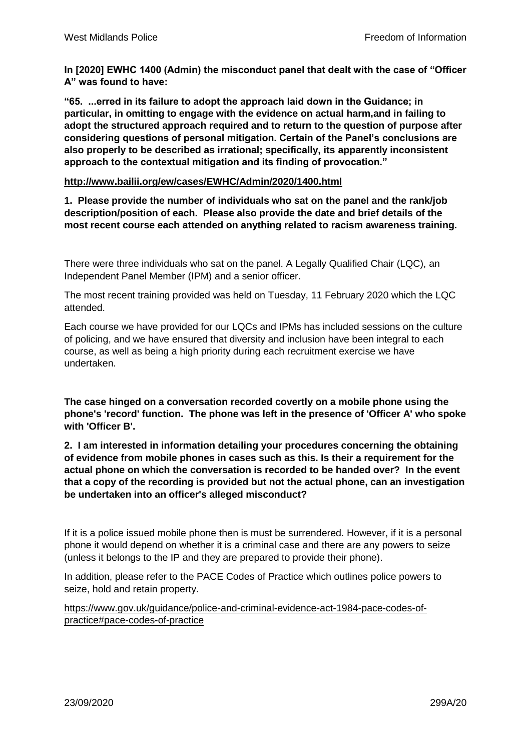**In [2020] EWHC 1400 (Admin) the misconduct panel that dealt with the case of "Officer A" was found to have:**

**"65. ...erred in its failure to adopt the approach laid down in the Guidance; in particular, in omitting to engage with the evidence on actual harm,and in failing to adopt the structured approach required and to return to the question of purpose after considering questions of personal mitigation. Certain of the Panel's conclusions are also properly to be described as irrational; specifically, its apparently inconsistent approach to the contextual mitigation and its finding of provocation."**

# **<http://www.bailii.org/ew/cases/EWHC/Admin/2020/1400.html>**

**1. Please provide the number of individuals who sat on the panel and the rank/job description/position of each. Please also provide the date and brief details of the most recent course each attended on anything related to racism awareness training.**

There were three individuals who sat on the panel. A Legally Qualified Chair (LQC), an Independent Panel Member (IPM) and a senior officer.

The most recent training provided was held on Tuesday, 11 February 2020 which the LQC attended.

Each course we have provided for our LQCs and IPMs has included sessions on the culture of policing, and we have ensured that diversity and inclusion have been integral to each course, as well as being a high priority during each recruitment exercise we have undertaken.

**The case hinged on a conversation recorded covertly on a mobile phone using the phone's 'record' function. The phone was left in the presence of 'Officer A' who spoke with 'Officer B'.**

**2. I am interested in information detailing your procedures concerning the obtaining of evidence from mobile phones in cases such as this. Is their a requirement for the actual phone on which the conversation is recorded to be handed over? In the event that a copy of the recording is provided but not the actual phone, can an investigation be undertaken into an officer's alleged misconduct?**

If it is a police issued mobile phone then is must be surrendered. However, if it is a personal phone it would depend on whether it is a criminal case and there are any powers to seize (unless it belongs to the IP and they are prepared to provide their phone).

In addition, please refer to the PACE Codes of Practice which outlines police powers to seize, hold and retain property.

[https://www.gov.uk/guidance/police-and-criminal-evidence-act-1984-pace-codes-of](https://www.gov.uk/guidance/police-and-criminal-evidence-act-1984-pace-codes-of-practice#pace-codes-of-practice)[practice#pace-codes-of-practice](https://www.gov.uk/guidance/police-and-criminal-evidence-act-1984-pace-codes-of-practice#pace-codes-of-practice)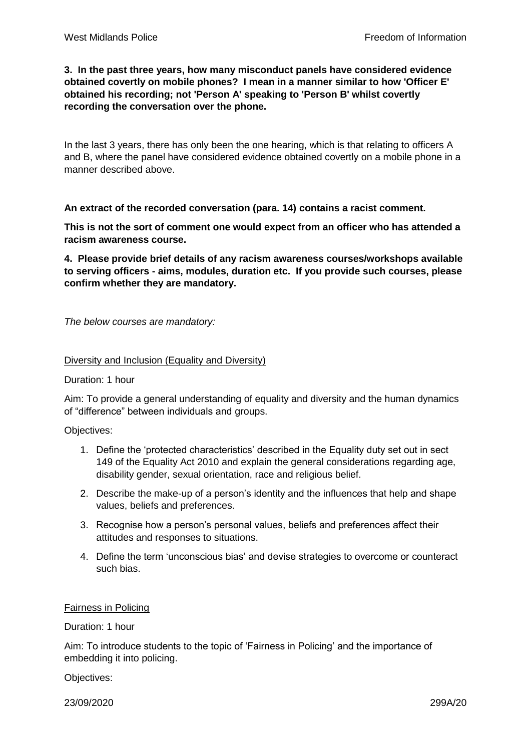# **3. In the past three years, how many misconduct panels have considered evidence obtained covertly on mobile phones? I mean in a manner similar to how 'Officer E' obtained his recording; not 'Person A' speaking to 'Person B' whilst covertly recording the conversation over the phone.**

In the last 3 years, there has only been the one hearing, which is that relating to officers A and B, where the panel have considered evidence obtained covertly on a mobile phone in a manner described above.

**An extract of the recorded conversation (para. 14) contains a racist comment.**

**This is not the sort of comment one would expect from an officer who has attended a racism awareness course.**

**4. Please provide brief details of any racism awareness courses/workshops available to serving officers - aims, modules, duration etc. If you provide such courses, please confirm whether they are mandatory.**

*The below courses are mandatory:*

## Diversity and Inclusion (Equality and Diversity)

Duration: 1 hour

Aim: To provide a general understanding of equality and diversity and the human dynamics of "difference" between individuals and groups.

Objectives:

- 1. Define the 'protected characteristics' described in the Equality duty set out in sect 149 of the Equality Act 2010 and explain the general considerations regarding age, disability gender, sexual orientation, race and religious belief.
- 2. Describe the make-up of a person's identity and the influences that help and shape values, beliefs and preferences.
- 3. Recognise how a person's personal values, beliefs and preferences affect their attitudes and responses to situations.
- 4. Define the term 'unconscious bias' and devise strategies to overcome or counteract such bias.

## Fairness in Policing

Duration: 1 hour

Aim: To introduce students to the topic of 'Fairness in Policing' and the importance of embedding it into policing.

Objectives:

23/09/2020 299A/20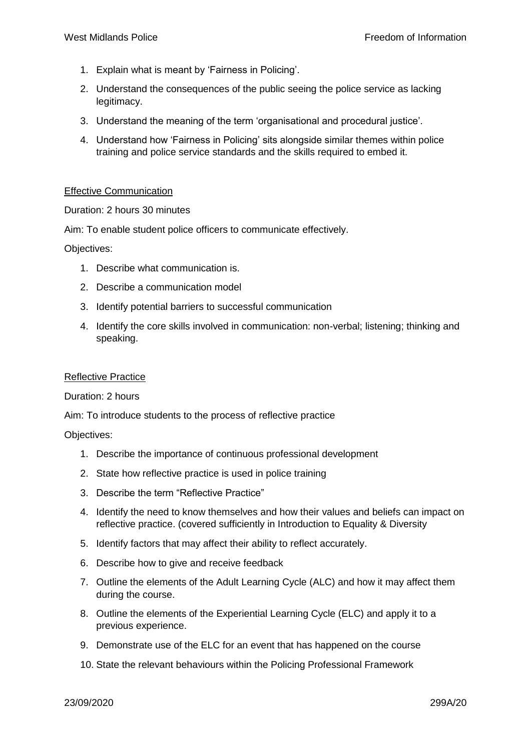- 1. Explain what is meant by 'Fairness in Policing'.
- 2. Understand the consequences of the public seeing the police service as lacking legitimacy.
- 3. Understand the meaning of the term 'organisational and procedural justice'.
- 4. Understand how 'Fairness in Policing' sits alongside similar themes within police training and police service standards and the skills required to embed it.

## Effective Communication

Duration: 2 hours 30 minutes

Aim: To enable student police officers to communicate effectively.

Objectives:

- 1. Describe what communication is.
- 2. Describe a communication model
- 3. Identify potential barriers to successful communication
- 4. Identify the core skills involved in communication: non-verbal; listening; thinking and speaking.

#### Reflective Practice

#### Duration: 2 hours

Aim: To introduce students to the process of reflective practice

Objectives:

- 1. Describe the importance of continuous professional development
- 2. State how reflective practice is used in police training
- 3. Describe the term "Reflective Practice"
- 4. Identify the need to know themselves and how their values and beliefs can impact on reflective practice. (covered sufficiently in Introduction to Equality & Diversity
- 5. Identify factors that may affect their ability to reflect accurately.
- 6. Describe how to give and receive feedback
- 7. Outline the elements of the Adult Learning Cycle (ALC) and how it may affect them during the course.
- 8. Outline the elements of the Experiential Learning Cycle (ELC) and apply it to a previous experience.
- 9. Demonstrate use of the ELC for an event that has happened on the course
- 10. State the relevant behaviours within the Policing Professional Framework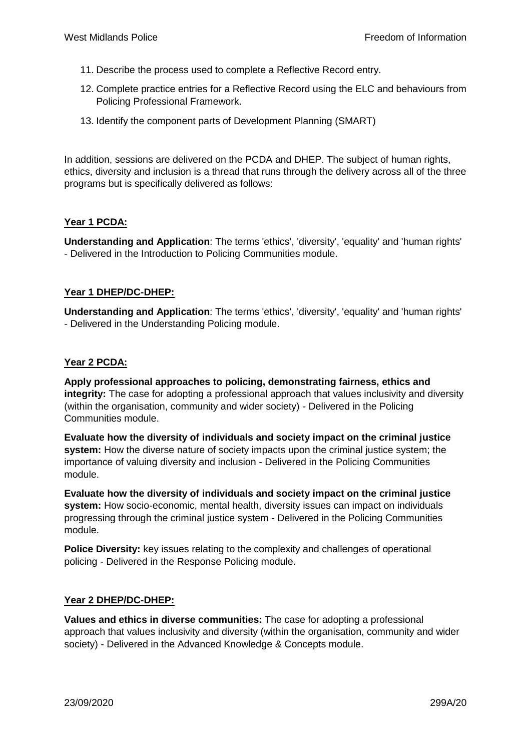- 11. Describe the process used to complete a Reflective Record entry.
- 12. Complete practice entries for a Reflective Record using the ELC and behaviours from Policing Professional Framework.
- 13. Identify the component parts of Development Planning (SMART)

In addition, sessions are delivered on the PCDA and DHEP. The subject of human rights, ethics, diversity and inclusion is a thread that runs through the delivery across all of the three programs but is specifically delivered as follows:

# **Year 1 PCDA:**

**Understanding and Application**: The terms 'ethics', 'diversity', 'equality' and 'human rights' - Delivered in the Introduction to Policing Communities module.

# **Year 1 DHEP/DC-DHEP:**

**Understanding and Application**: The terms 'ethics', 'diversity', 'equality' and 'human rights' - Delivered in the Understanding Policing module.

# **Year 2 PCDA:**

**Apply professional approaches to policing, demonstrating fairness, ethics and integrity:** The case for adopting a professional approach that values inclusivity and diversity (within the organisation, community and wider society) - Delivered in the Policing Communities module.

**Evaluate how the diversity of individuals and society impact on the criminal justice system:** How the diverse nature of society impacts upon the criminal justice system; the importance of valuing diversity and inclusion - Delivered in the Policing Communities module.

**Evaluate how the diversity of individuals and society impact on the criminal justice system:** How socio-economic, mental health, diversity issues can impact on individuals progressing through the criminal justice system - Delivered in the Policing Communities module.

**Police Diversity:** key issues relating to the complexity and challenges of operational policing - Delivered in the Response Policing module.

## **Year 2 DHEP/DC-DHEP:**

**Values and ethics in diverse communities:** The case for adopting a professional approach that values inclusivity and diversity (within the organisation, community and wider society) - Delivered in the Advanced Knowledge & Concepts module.